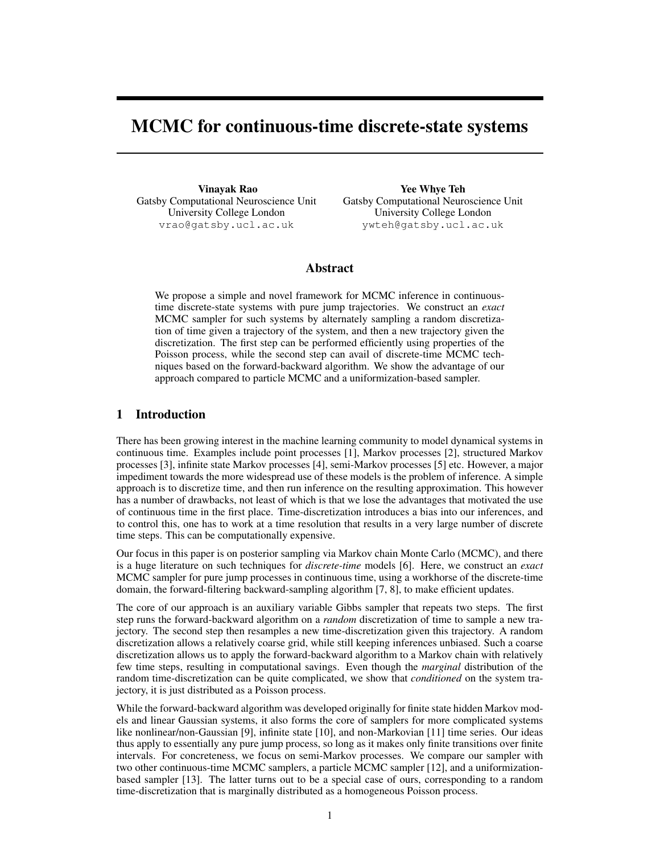# MCMC for continuous-time discrete-state systems

Vinayak Rao Gatsby Computational Neuroscience Unit University College London vrao@gatsby.ucl.ac.uk

Yee Whye Teh Gatsby Computational Neuroscience Unit University College London ywteh@gatsby.ucl.ac.uk

## Abstract

We propose a simple and novel framework for MCMC inference in continuoustime discrete-state systems with pure jump trajectories. We construct an *exact* MCMC sampler for such systems by alternately sampling a random discretization of time given a trajectory of the system, and then a new trajectory given the discretization. The first step can be performed efficiently using properties of the Poisson process, while the second step can avail of discrete-time MCMC techniques based on the forward-backward algorithm. We show the advantage of our approach compared to particle MCMC and a uniformization-based sampler.

## 1 Introduction

There has been growing interest in the machine learning community to model dynamical systems in continuous time. Examples include point processes [1], Markov processes [2], structured Markov processes [3], infinite state Markov processes [4], semi-Markov processes [5] etc. However, a major impediment towards the more widespread use of these models is the problem of inference. A simple approach is to discretize time, and then run inference on the resulting approximation. This however has a number of drawbacks, not least of which is that we lose the advantages that motivated the use of continuous time in the first place. Time-discretization introduces a bias into our inferences, and to control this, one has to work at a time resolution that results in a very large number of discrete time steps. This can be computationally expensive.

Our focus in this paper is on posterior sampling via Markov chain Monte Carlo (MCMC), and there is a huge literature on such techniques for *discrete-time* models [6]. Here, we construct an *exact* MCMC sampler for pure jump processes in continuous time, using a workhorse of the discrete-time domain, the forward-filtering backward-sampling algorithm [7, 8], to make efficient updates.

The core of our approach is an auxiliary variable Gibbs sampler that repeats two steps. The first step runs the forward-backward algorithm on a *random* discretization of time to sample a new trajectory. The second step then resamples a new time-discretization given this trajectory. A random discretization allows a relatively coarse grid, while still keeping inferences unbiased. Such a coarse discretization allows us to apply the forward-backward algorithm to a Markov chain with relatively few time steps, resulting in computational savings. Even though the *marginal* distribution of the random time-discretization can be quite complicated, we show that *conditioned* on the system trajectory, it is just distributed as a Poisson process.

While the forward-backward algorithm was developed originally for finite state hidden Markov models and linear Gaussian systems, it also forms the core of samplers for more complicated systems like nonlinear/non-Gaussian [9], infinite state [10], and non-Markovian [11] time series. Our ideas thus apply to essentially any pure jump process, so long as it makes only finite transitions over finite intervals. For concreteness, we focus on semi-Markov processes. We compare our sampler with two other continuous-time MCMC samplers, a particle MCMC sampler [12], and a uniformizationbased sampler [13]. The latter turns out to be a special case of ours, corresponding to a random time-discretization that is marginally distributed as a homogeneous Poisson process.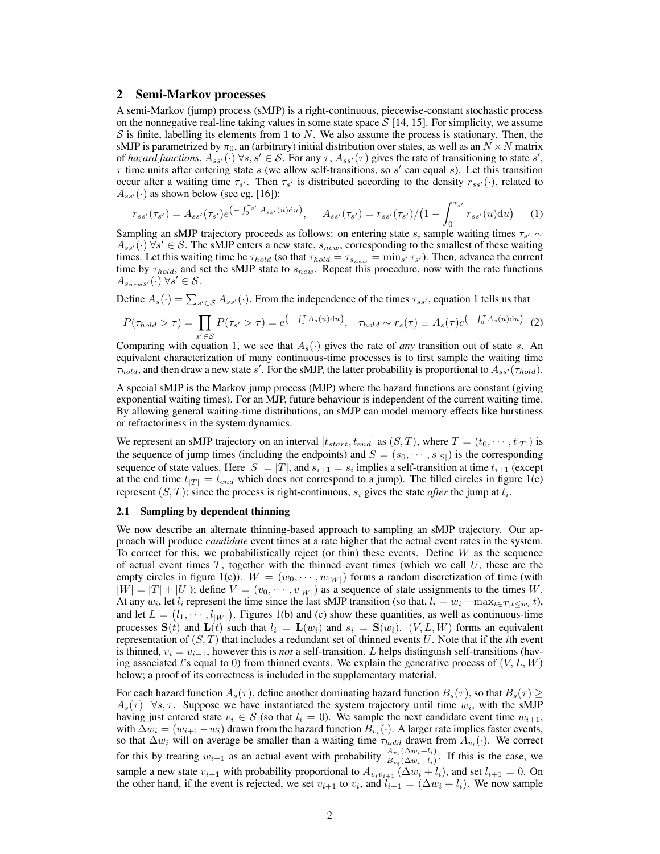## 2 Semi-Markov processes

A semi-Markov (jump) process (sMJP) is a right-continuous, piecewise-constant stochastic process on the nonnegative real-line taking values in some state space  $S$  [14, 15]. For simplicity, we assume  $S$  is finite, labelling its elements from 1 to N. We also assume the process is stationary. Then, the sMJP is parametrized by  $\pi_0$ , an (arbitrary) initial distribution over states, as well as an  $N \times N$  matrix of *hazard functions*,  $A_{ss'}(\cdot)$   $\forall s, s' \in \mathcal{S}$ . For any  $\tau$ ,  $A_{ss'}(\tau)$  gives the rate of transitioning to state  $s'$ ,  $\tau$  time units after entering state s (we allow self-transitions, so s' can equal s). Let this transition occur after a waiting time  $\tau_{s'}$ . Then  $\tau_{s'}$  is distributed according to the density  $r_{ss'}(\cdot)$ , related to  $A_{ss'}(\cdot)$  as shown below (see eg. [16]):

$$
r_{ss'}(\tau_{s'}) = A_{ss'}(\tau_{s'})e^{(-\int_0^{\tau_{s'}} A_{ss'}(u)du)}, \quad A_{ss'}(\tau_{s'}) = r_{ss'}(\tau_{s'})/(1-\int_0^{\tau_{s'}} r_{ss'}(u)du)
$$
 (1)

Sampling an sMJP trajectory proceeds as follows: on entering state s, sample waiting times  $\tau_{s'} \sim$  $A_{ss'}(\cdot)$   $\forall s' \in S$ . The sMJP enters a new state,  $s_{new}$ , corresponding to the smallest of these waiting times. Let this waiting time be  $\tau_{hold}$  (so that  $\tau_{hold} = \tau_{s_{new}} = \min_{s'} \tau_{s'}$ ). Then, advance the current time by  $\tau_{hold}$ , and set the sMJP state to  $s_{new}$ . Repeat this procedure, now with the rate functions  $A_{s_{new}s'}(\cdot)$   $\forall s' \in \mathcal{S}$ .

Define  $A_s(\cdot) = \sum_{s' \in \mathcal{S}} A_{ss'}(\cdot)$ . From the independence of the times  $\tau_{ss'}$ , equation 1 tells us that

$$
P(\tau_{hold} > \tau) = \prod_{s' \in \mathcal{S}} P(\tau_{s'} > \tau) = e^{\left(-\int_0^{\tau} A_s(u) \mathrm{d}u\right)}, \quad \tau_{hold} \sim r_s(\tau) \equiv A_s(\tau) e^{\left(-\int_0^{\tau} A_s(u) \mathrm{d}u\right)} \tag{2}
$$

Comparing with equation 1, we see that  $A_s(\cdot)$  gives the rate of *any* transition out of state s. An equivalent characterization of many continuous-time processes is to first sample the waiting time  $\tau_{hold}$ , and then draw a new state s'. For the sMJP, the latter probability is proportional to  $A_{ss'}(\tau_{hold})$ .

A special sMJP is the Markov jump process (MJP) where the hazard functions are constant (giving exponential waiting times). For an MJP, future behaviour is independent of the current waiting time. By allowing general waiting-time distributions, an sMJP can model memory effects like burstiness or refractoriness in the system dynamics.

We represent an sMJP trajectory on an interval  $[t_{start}, t_{end}]$  as  $(S, T)$ , where  $T = (t_0, \dots, t_{|T|})$  is the sequence of jump times (including the endpoints) and  $S = (s_0, \dots, s_{|S|})$  is the corresponding sequence of state values. Here  $|S| = |T|$ , and  $s_{i+1} = s_i$  implies a self-transition at time  $t_{i+1}$  (except at the end time  $t_{|T|} = t_{end}$  which does not correspond to a jump). The filled circles in figure 1(c) represent  $(S, T)$ ; since the process is right-continuous,  $s_i$  gives the state *after* the jump at  $t_i$ .

#### 2.1 Sampling by dependent thinning

We now describe an alternate thinning-based approach to sampling an sMJP trajectory. Our approach will produce *candidate* event times at a rate higher that the actual event rates in the system. To correct for this, we probabilistically reject (or thin) these events. Define  $W$  as the sequence of actual event times  $T$ , together with the thinned event times (which we call  $U$ , these are the empty circles in figure 1(c)).  $W = (w_0, \dots, w_{|W|})$  forms a random discretization of time (with  $|W| = |T| + |U|$ ); define  $V = (v_0, \dots, v_{|W|})$  as a sequence of state assignments to the times W. At any  $w_i$ , let  $l_i$  represent the time since the last sMJP transition (so that,  $l_i = w_i - \max_{t \in T, t \leq w_i} t$ ), and let  $L = (l_1, \dots, l_{|W|})$ . Figures 1(b) and (c) show these quantities, as well as continuous-time processes  $S(t)$  and  $L(t)$  such that  $l_i = L(w_i)$  and  $s_i = S(w_i)$ .  $(V, L, W)$  forms an equivalent representation of  $(S, T)$  that includes a redundant set of thinned events U. Note that if the *i*th event is thinned,  $v_i = v_{i-1}$ , however this is *not* a self-transition. L helps distinguish self-transitions (having associated l's equal to 0) from thinned events. We explain the generative process of  $(V, L, W)$ below; a proof of its correctness is included in the supplementary material.

For each hazard function  $A_s(\tau)$ , define another dominating hazard function  $B_s(\tau)$ , so that  $B_s(\tau) \geq$  $A_s(\tau)$   $\forall s, \tau$ . Suppose we have instantiated the system trajectory until time  $w_i$ , with the sMJP having just entered state  $v_i \in S$  (so that  $l_i = 0$ ). We sample the next candidate event time  $w_{i+1}$ , with  $\Delta w_i = (w_{i+1} - w_i)$  drawn from the hazard function  $B_{v_i}(\cdot)$ . A larger rate implies faster events, so that  $\Delta w_i$  will on average be smaller than a waiting time  $\tau_{hold}$  drawn from  $A_{v_i}(\cdot)$ . We correct for this by treating  $w_{i+1}$  as an actual event with probability  $\frac{A_{v_i}(\Delta w_i + l_i)}{B_{v_i}(\Delta w_i + l_i)}$  $\frac{\Delta v_i(\Delta w_i + i)}{B v_i(\Delta w_i + i)}$ . If this is the case, we sample a new state  $v_{i+1}$  with probability proportional to  $A_{v_i v_{i+1}}(\Delta w_i + l_i)$ , and set  $l_{i+1} = 0$ . On the other hand, if the event is rejected, we set  $v_{i+1}$  to  $v_i$ , and  $l_{i+1} = (\Delta w_i + l_i)$ . We now sample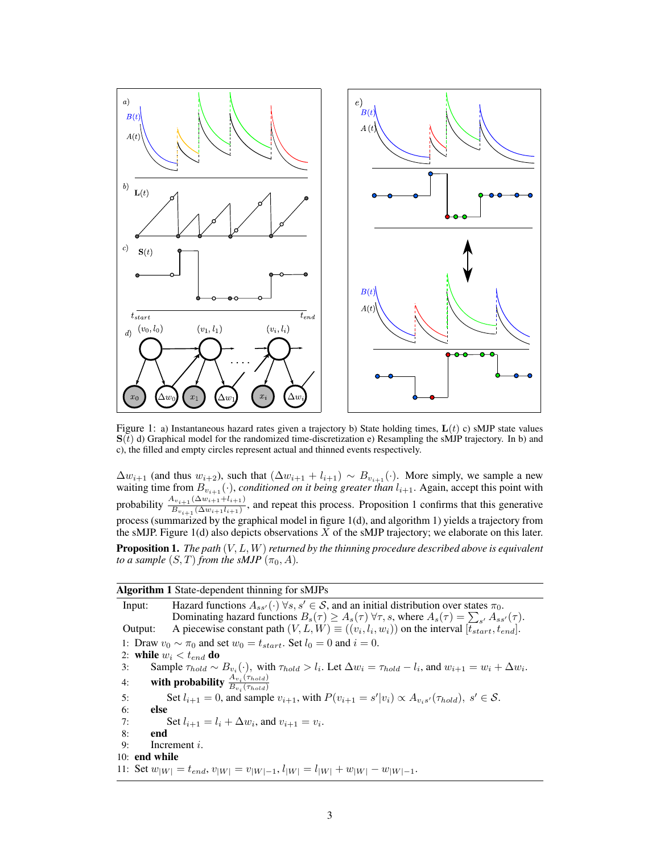

Figure 1: a) Instantaneous hazard rates given a trajectory b) State holding times,  $L(t)$  c) sMJP state values  $S(t)$  d) Graphical model for the randomized time-discretization e) Resampling the sMJP trajectory. In b) and c), the filled and empty circles represent actual and thinned events respectively.

 $\Delta w_{i+1}$  (and thus  $w_{i+2}$ ), such that  $(\Delta w_{i+1} + l_{i+1}) \sim B_{v_{i+1}}(\cdot)$ . More simply, we sample a new waiting time from  $B_{v_{i+1}}(\cdot)$ , *conditioned on it being greater than*  $l_{i+1}$ . Again, accept this point with probability  $\frac{A_{v_{i+1}}(\Delta w_{i+1}+l_{i+1})}{B_{v_{i+1}}(\Delta w_{i+1}l_{i+1})}$ , and repeat this process. Proposition 1 confirms that this generative process (summarized by the graphical model in figure 1(d), and algorithm 1) yields a trajectory from the sMJP. Figure 1(d) also depicts observations  $X$  of the sMJP trajectory; we elaborate on this later. Proposition 1. *The path* (V, L, W)*returned by the thinning procedure described above is equivalent to a sample*  $(S, T)$  *from the sMJP*  $(\pi_0, A)$ *.* 

| <b>Algorithm 1</b> State-dependent thinning for sMJPs                                                                                                 |
|-------------------------------------------------------------------------------------------------------------------------------------------------------|
| Hazard functions $A_{ss'}(\cdot)$ $\forall s, s' \in S$ , and an initial distribution over states $\pi_0$ .<br>Input:                                 |
| Dominating hazard functions $B_s(\tau) \geq A_s(\tau) \,\forall \tau, s$ , where $A_s(\tau) = \sum_{s'} A_{ss'}(\tau)$ .                              |
| A piecewise constant path $(V, L, W) \equiv ((v_i, l_i, w_i))$ on the interval $[t_{start}, t_{end}]$ .<br>Output:                                    |
| 1: Draw $v_0 \sim \pi_0$ and set $w_0 = t_{start}$ . Set $l_0 = 0$ and $i = 0$ .                                                                      |
| 2: while $w_i < t_{end}$ do                                                                                                                           |
| Sample $\tau_{hold} \sim B_{v_i}(\cdot)$ , with $\tau_{hold} > l_i$ . Let $\Delta w_i = \tau_{hold} - l_i$ , and $w_{i+1} = w_i + \Delta w_i$ .<br>3: |
| with probability $\frac{A_{v_i}(\tau_{hold})}{B_{v_i}(\tau_{hold})}$<br>4:                                                                            |
| Set $l_{i+1} = 0$ , and sample $v_{i+1}$ , with $P(v_{i+1} = s' v_i) \propto A_{v,s'}(\tau_{hold}), s' \in \mathcal{S}$ .<br>5:                       |
| 6:<br>else                                                                                                                                            |
| Set $l_{i+1} = l_i + \Delta w_i$ , and $v_{i+1} = v_i$ .<br>7:                                                                                        |
| 8:<br>end                                                                                                                                             |
| Increment $i$ .<br>9:                                                                                                                                 |
| $10:$ end while                                                                                                                                       |
| 11: Set $w_{ W } = t_{end}$ , $v_{ W } = v_{ W -1}$ , $l_{ W } = l_{ W } + w_{ W } - w_{ W -1}$ .                                                     |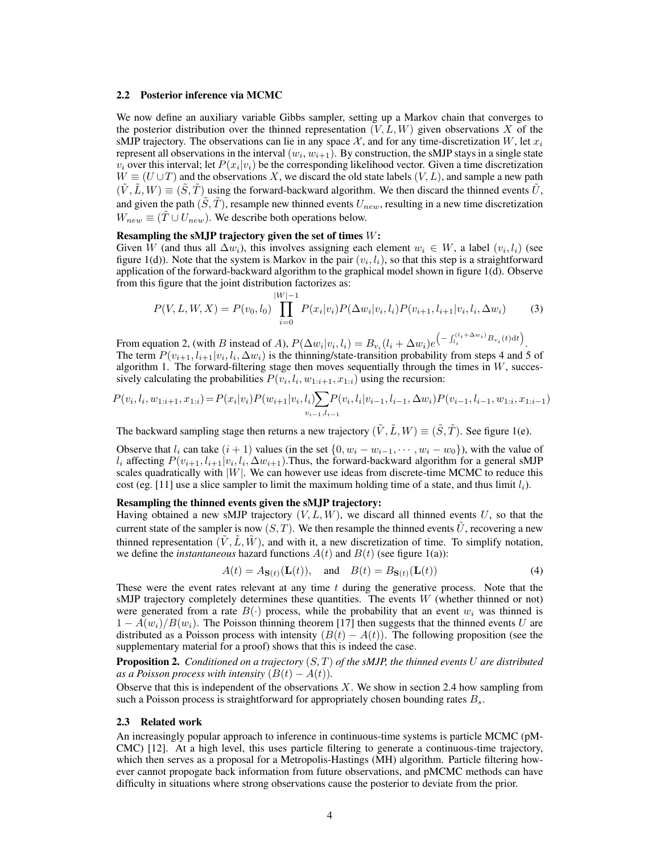#### 2.2 Posterior inference via MCMC

We now define an auxiliary variable Gibbs sampler, setting up a Markov chain that converges to the posterior distribution over the thinned representation  $(V, L, W)$  given observations X of the sMJP trajectory. The observations can lie in any space  $\mathcal{X}$ , and for any time-discretization W, let  $x_i$ represent all observations in the interval  $(w_i, w_{i+1})$ . By construction, the sMJP stays in a single state  $v_i$  over this interval; let  $P(x_i|v_i)$  be the corresponding likelihood vector. Given a time discretization  $W \equiv (U \cup T)$  and the observations X, we discard the old state labels  $(V, L)$ , and sample a new path  $(\tilde{V}, \tilde{L}, W) \equiv (\tilde{S}, \tilde{T})$  using the forward-backward algorithm. We then discard the thinned events  $\tilde{U}$ , and given the path  $(\tilde{S}, \tilde{T})$ , resample new thinned events  $U_{new}$ , resulting in a new time discretization  $W_{new} \equiv (\tilde{T} \cup U_{new})$ . We describe both operations below.

#### Resampling the sMJP trajectory given the set of times  $W$ :

Given W (and thus all  $\Delta w_i$ ), this involves assigning each element  $w_i \in W$ , a label  $(v_i, l_i)$  (see figure 1(d)). Note that the system is Markov in the pair  $(v_i, l_i)$ , so that this step is a straightforward application of the forward-backward algorithm to the graphical model shown in figure 1(d). Observe from this figure that the joint distribution factorizes as:

$$
P(V, L, W, X) = P(v_0, l_0) \prod_{i=0}^{|W|-1} P(x_i | v_i) P(\Delta w_i | v_i, l_i) P(v_{i+1}, l_{i+1} | v_i, l_i, \Delta w_i)
$$
(3)

From equation 2, (with B instead of A),  $P(\Delta w_i|v_i, l_i) = B_{v_i}(l_i + \Delta w_i)e^{-\int_{l_i}^{(l_i + \Delta w_i)} B_{v_i}(t)dt}$ . The term  $P(v_{i+1}, l_{i+1}|v_i, l_i, \Delta w_i)$  is the thinning/state-transition probability from steps 4 and 5 of algorithm 1. The forward-filtering stage then moves sequentially through the times in  $W$ , successively calculating the probabilities  $P(v_i, l_i, w_{1:i+1}, x_{1:i})$  using the recursion:

$$
P(v_i, l_i, w_{1:i+1}, x_{1:i}) = P(x_i|v_i)P(w_{i+1}|v_i, l_i)\sum_{v_{i-1}, l_{i-1}} P(v_i, l_i|v_{i-1}, l_{i-1}, \Delta w_i)P(v_{i-1}, l_{i-1}, w_{1:i}, x_{1:i-1})
$$

The backward sampling stage then returns a new trajectory  $(\tilde{V}, \tilde{L}, W) \equiv (\tilde{S}, \tilde{T})$ . See figure 1(e).

Observe that  $l_i$  can take  $(i + 1)$  values (in the set  $\{0, w_i - w_{i-1}, \dots, w_i - w_0\}$ ), with the value of  $l_i$  affecting  $P(v_{i+1}, l_{i+1}|v_i, l_i, \Delta w_{i+1})$ . Thus, the forward-backward algorithm for a general sMJP scales quadratically with  $|W|$ . We can however use ideas from discrete-time MCMC to reduce this cost (eg. [11] use a slice sampler to limit the maximum holding time of a state, and thus limit  $l_i$ ).

#### Resampling the thinned events given the sMJP trajectory:

Having obtained a new sMJP trajectory  $(V, L, W)$ , we discard all thinned events U, so that the current state of the sampler is now  $(S, T)$ . We then resample the thinned events  $\tilde{U}$ , recovering a new thinned representation  $(\tilde{V}, \tilde{L}, \tilde{W})$ , and with it, a new discretization of time. To simplify notation, we define the *instantaneous* hazard functions  $A(t)$  and  $B(t)$  (see figure 1(a)):

$$
A(t) = A_{\mathbf{S}(t)}(\mathbf{L}(t)), \text{ and } B(t) = B_{\mathbf{S}(t)}(\mathbf{L}(t))
$$
\n<sup>(4)</sup>

These were the event rates relevant at any time  $t$  during the generative process. Note that the sMJP trajectory completely determines these quantities. The events  $W$  (whether thinned or not) were generated from a rate  $B(\cdot)$  process, while the probability that an event  $w_i$  was thinned is  $1 - A(w_i)/B(w_i)$ . The Poisson thinning theorem [17] then suggests that the thinned events U are distributed as a Poisson process with intensity  $(B(t) - A(t))$ . The following proposition (see the supplementary material for a proof) shows that this is indeed the case.

Proposition 2. *Conditioned on a trajectory* (S, T) *of the sMJP, the thinned events* U *are distributed as a Poisson process with intensity*  $(B(t) - A(t))$ .

Observe that this is independent of the observations  $X$ . We show in section 2.4 how sampling from such a Poisson process is straightforward for appropriately chosen bounding rates  $B_s$ .

#### 2.3 Related work

An increasingly popular approach to inference in continuous-time systems is particle MCMC (pM-CMC) [12]. At a high level, this uses particle filtering to generate a continuous-time trajectory, which then serves as a proposal for a Metropolis-Hastings (MH) algorithm. Particle filtering however cannot propogate back information from future observations, and pMCMC methods can have difficulty in situations where strong observations cause the posterior to deviate from the prior.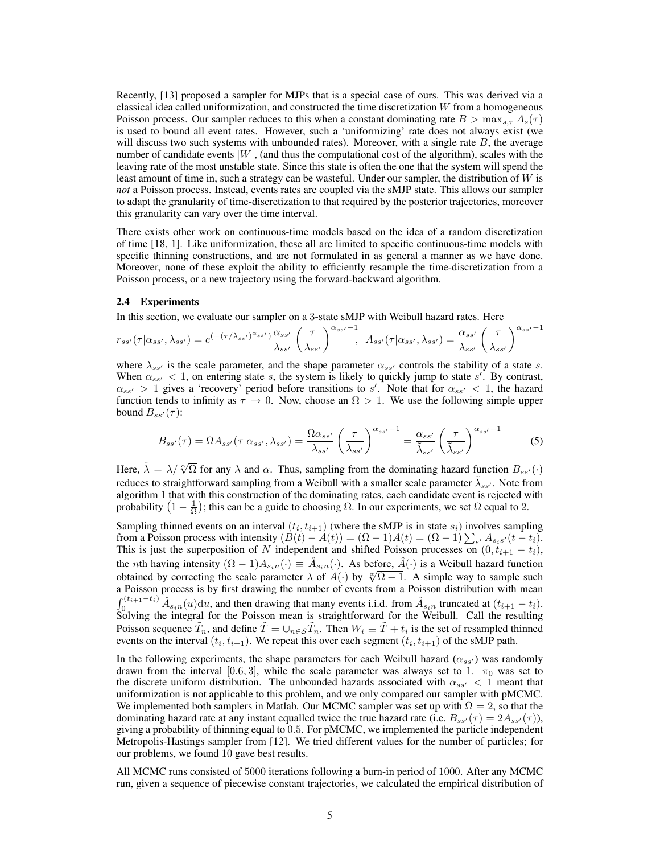Recently, [13] proposed a sampler for MJPs that is a special case of ours. This was derived via a classical idea called uniformization, and constructed the time discretization  $W$  from a homogeneous Poisson process. Our sampler reduces to this when a constant dominating rate  $B > \max_{s,\tau} A_s(\tau)$ is used to bound all event rates. However, such a 'uniformizing' rate does not always exist (we will discuss two such systems with unbounded rates). Moreover, with a single rate  $B$ , the average number of candidate events  $|W|$ , (and thus the computational cost of the algorithm), scales with the leaving rate of the most unstable state. Since this state is often the one that the system will spend the least amount of time in, such a strategy can be wasteful. Under our sampler, the distribution of  $W$  is *not* a Poisson process. Instead, events rates are coupled via the sMJP state. This allows our sampler to adapt the granularity of time-discretization to that required by the posterior trajectories, moreover this granularity can vary over the time interval.

There exists other work on continuous-time models based on the idea of a random discretization of time [18, 1]. Like uniformization, these all are limited to specific continuous-time models with specific thinning constructions, and are not formulated in as general a manner as we have done. Moreover, none of these exploit the ability to efficiently resample the time-discretization from a Poisson process, or a new trajectory using the forward-backward algorithm.

#### 2.4 Experiments

In this section, we evaluate our sampler on a 3-state sMJP with Weibull hazard rates. Here

$$
r_{ss'}(\tau|\alpha_{ss'},\lambda_{ss'}) = e^{(-(\tau/\lambda_{ss'})^{\alpha_{ss'}})} \frac{\alpha_{ss'}}{\lambda_{ss'}} \left(\frac{\tau}{\lambda_{ss'}}\right)^{\alpha_{ss'}-1}, \quad A_{ss'}(\tau|\alpha_{ss'},\lambda_{ss'}) = \frac{\alpha_{ss'}}{\lambda_{ss'}} \left(\frac{\tau}{\lambda_{ss'}}\right)^{\alpha_{ss'}-1}
$$

where  $\lambda_{ss'}$  is the scale parameter, and the shape parameter  $\alpha_{ss'}$  controls the stability of a state s. When  $\alpha_{ss'} < 1$ , on entering state s, the system is likely to quickly jump to state s'. By contrast,  $\alpha_{ss'} > 1$  gives a 'recovery' period before transitions to s'. Note that for  $\alpha_{ss'} < 1$ , the hazard function tends to infinity as  $\tau \to 0$ . Now, choose an  $\Omega > 1$ . We use the following simple upper bound  $B_{ss'}(\tau)$ :

$$
B_{ss'}(\tau) = \Omega A_{ss'}(\tau | \alpha_{ss'}, \lambda_{ss'}) = \frac{\Omega \alpha_{ss'}}{\lambda_{ss'}} \left(\frac{\tau}{\lambda_{ss'}}\right)^{\alpha_{ss'}-1} = \frac{\alpha_{ss'}}{\tilde{\lambda}_{ss'}} \left(\frac{\tau}{\tilde{\lambda}_{ss'}}\right)^{\alpha_{ss'}-1}
$$
(5)

Here,  $\lambda = \lambda / \sqrt[\alpha]{\Omega}$  for any  $\lambda$  and  $\alpha$ . Thus, sampling from the dominating hazard function  $B_{ss'}(\cdot)$ reduces to straightforward sampling from a Weibull with a smaller scale parameter  $\tilde{\lambda}_{ss'}$ . Note from algorithm 1 that with this construction of the dominating rates, each candidate event is rejected with probability  $(1 - \frac{1}{\Omega})$ ; this can be a guide to choosing  $\Omega$ . In our experiments, we set  $\Omega$  equal to 2.

Sampling thinned events on an interval  $(t_i, t_{i+1})$  (where the sMJP is in state  $s_i$ ) involves sampling from a Poisson process with intensity  $(B(t) - A(t)) = (\Omega - 1)A(t) = (\Omega - 1)\sum_{s'} A_{s_i s'}(t - t_i)$ . This is just the superposition of N independent and shifted Poisson processes on  $(0, t_{i+1} - t_i)$ , the *n*th having intensity  $(\Omega - 1)A_{s_in}(\cdot) \equiv \hat{A}_{s_in}(\cdot)$ . As before,  $\hat{A}(\cdot)$  is a Weibull hazard function obtained by correcting the scale parameter  $\lambda$  of  $A(\cdot)$  by  $\sqrt[\infty]{\Omega - 1}$ . A simple way to sample such a Poisson process is by first drawing the number of events from a Poisson distribution with mean  $\int_0^{(t_{i+1}-t_i)} \hat{A}_{s_in}(u) \, du$ , and then drawing that many events i.i.d. from  $\hat{A}_{s_in}$  truncated at  $(t_{i+1}-t_i)$ . Solving the integral for the Poisson mean is straightforward for the Weibull. Call the resulting Poisson sequence  $\tilde{T}_n$ , and define  $\tilde{T} = \cup_{n \in S} \tilde{T}_n$ . Then  $W_i \equiv \tilde{T} + t_i$  is the set of resampled thinned events on the interval  $(t_i, t_{i+1})$ . We repeat this over each segment  $(t_i, t_{i+1})$  of the sMJP path.

In the following experiments, the shape parameters for each Weibull hazard ( $\alpha_{ss}$ ) was randomly drawn from the interval [0.6, 3], while the scale parameter was always set to 1.  $\pi_0$  was set to the discrete uniform distribution. The unbounded hazards associated with  $\alpha_{ss'} < 1$  meant that uniformization is not applicable to this problem, and we only compared our sampler with pMCMC. We implemented both samplers in Matlab. Our MCMC sampler was set up with  $\Omega = 2$ , so that the dominating hazard rate at any instant equalled twice the true hazard rate (i.e.  $B_{ss'}(\tau) = 2A_{ss'}(\tau)$ ), giving a probability of thinning equal to 0.5. For pMCMC, we implemented the particle independent Metropolis-Hastings sampler from [12]. We tried different values for the number of particles; for our problems, we found 10 gave best results.

All MCMC runs consisted of 5000 iterations following a burn-in period of 1000. After any MCMC run, given a sequence of piecewise constant trajectories, we calculated the empirical distribution of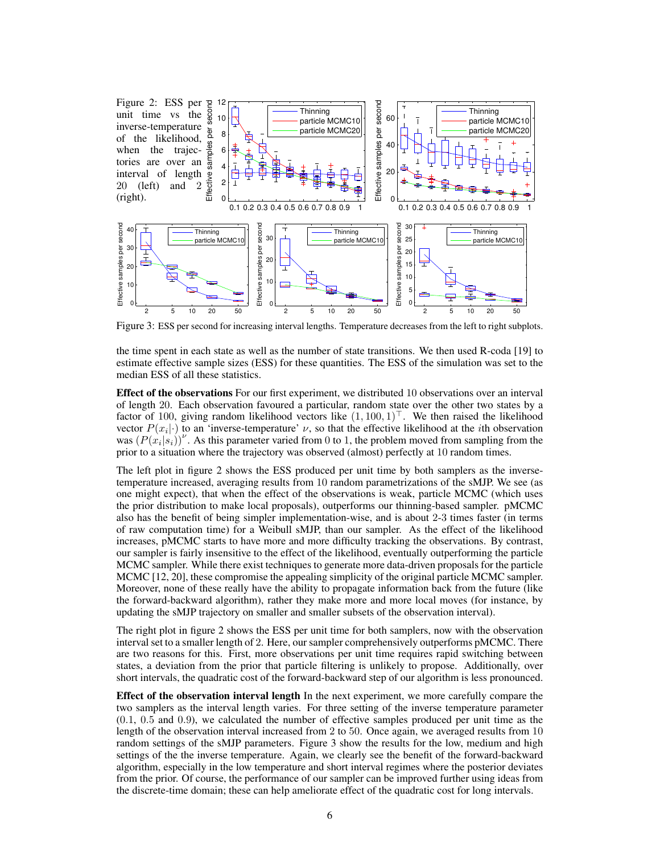

Figure 3: ESS per second for increasing interval lengths. Temperature decreases from the left to right subplots.

the time spent in each state as well as the number of state transitions. We then used R-coda [19] to estimate effective sample sizes (ESS) for these quantities. The ESS of the simulation was set to the median ESS of all these statistics.

Effect of the observations For our first experiment, we distributed 10 observations over an interval of length 20. Each observation favoured a particular, random state over the other two states by a factor of 100, giving random likelihood vectors like  $(1, 100, 1)^T$ . We then raised the likelihood vector  $P(x_i|\cdot)$  to an 'inverse-temperature'  $\nu$ , so that the effective likelihood at the *i*th observation was  $(P(x_i|s_i))^{\nu}$ . As this parameter varied from 0 to 1, the problem moved from sampling from the prior to a situation where the trajectory was observed (almost) perfectly at 10 random times.

The left plot in figure 2 shows the ESS produced per unit time by both samplers as the inversetemperature increased, averaging results from 10 random parametrizations of the sMJP. We see (as one might expect), that when the effect of the observations is weak, particle MCMC (which uses the prior distribution to make local proposals), outperforms our thinning-based sampler. pMCMC also has the benefit of being simpler implementation-wise, and is about 2-3 times faster (in terms of raw computation time) for a Weibull sMJP, than our sampler. As the effect of the likelihood increases, pMCMC starts to have more and more difficulty tracking the observations. By contrast, our sampler is fairly insensitive to the effect of the likelihood, eventually outperforming the particle MCMC sampler. While there exist techniques to generate more data-driven proposals for the particle MCMC [12, 20], these compromise the appealing simplicity of the original particle MCMC sampler. Moreover, none of these really have the ability to propagate information back from the future (like the forward-backward algorithm), rather they make more and more local moves (for instance, by updating the sMJP trajectory on smaller and smaller subsets of the observation interval).

The right plot in figure 2 shows the ESS per unit time for both samplers, now with the observation interval set to a smaller length of 2. Here, our sampler comprehensively outperforms pMCMC. There are two reasons for this. First, more observations per unit time requires rapid switching between states, a deviation from the prior that particle filtering is unlikely to propose. Additionally, over short intervals, the quadratic cost of the forward-backward step of our algorithm is less pronounced.

Effect of the observation interval length In the next experiment, we more carefully compare the two samplers as the interval length varies. For three setting of the inverse temperature parameter (0.1, 0.5 and 0.9), we calculated the number of effective samples produced per unit time as the length of the observation interval increased from 2 to 50. Once again, we averaged results from 10 random settings of the sMJP parameters. Figure 3 show the results for the low, medium and high settings of the the inverse temperature. Again, we clearly see the benefit of the forward-backward algorithm, especially in the low temperature and short interval regimes where the posterior deviates from the prior. Of course, the performance of our sampler can be improved further using ideas from the discrete-time domain; these can help ameliorate effect of the quadratic cost for long intervals.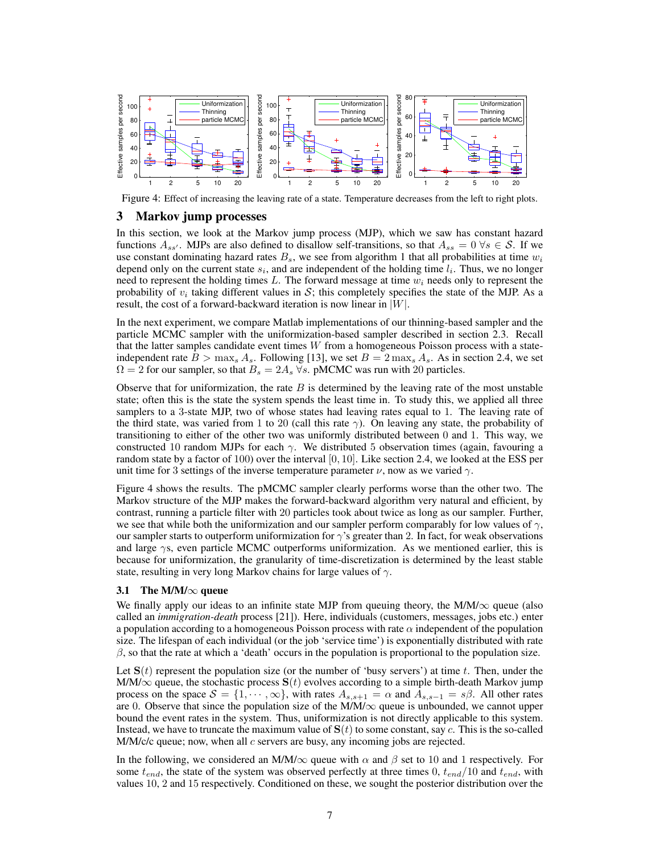

Figure 4: Effect of increasing the leaving rate of a state. Temperature decreases from the left to right plots.

## 3 Markov jump processes

In this section, we look at the Markov jump process (MJP), which we saw has constant hazard functions  $A_{ss'}$ . MJPs are also defined to disallow self-transitions, so that  $A_{ss} = 0 \,\forall s \in \mathcal{S}$ . If we use constant dominating hazard rates  $B_s$ , we see from algorithm 1 that all probabilities at time  $w_i$ depend only on the current state  $s_i$ , and are independent of the holding time  $l_i$ . Thus, we no longer need to represent the holding times L. The forward message at time  $w_i$  needs only to represent the probability of  $v_i$  taking different values in S; this completely specifies the state of the MJP. As a result, the cost of a forward-backward iteration is now linear in  $|W|$ .

In the next experiment, we compare Matlab implementations of our thinning-based sampler and the particle MCMC sampler with the uniformization-based sampler described in section 2.3. Recall that the latter samples candidate event times  $W$  from a homogeneous Poisson process with a stateindependent rate  $B > \max_s A_s$ . Following [13], we set  $B = 2 \max_s A_s$ . As in section 2.4, we set  $\Omega = 2$  for our sampler, so that  $B_s = 2A_s$   $\forall s$ . pMCMC was run with 20 particles.

Observe that for uniformization, the rate  $B$  is determined by the leaving rate of the most unstable state; often this is the state the system spends the least time in. To study this, we applied all three samplers to a 3-state MJP, two of whose states had leaving rates equal to 1. The leaving rate of the third state, was varied from 1 to 20 (call this rate  $\gamma$ ). On leaving any state, the probability of transitioning to either of the other two was uniformly distributed between 0 and 1. This way, we constructed 10 random MJPs for each  $\gamma$ . We distributed 5 observation times (again, favouring a random state by a factor of 100) over the interval  $[0, 10]$ . Like section 2.4, we looked at the ESS per unit time for 3 settings of the inverse temperature parameter  $\nu$ , now as we varied  $\gamma$ .

Figure 4 shows the results. The pMCMC sampler clearly performs worse than the other two. The Markov structure of the MJP makes the forward-backward algorithm very natural and efficient, by contrast, running a particle filter with 20 particles took about twice as long as our sampler. Further, we see that while both the uniformization and our sampler perform comparably for low values of  $\gamma$ , our sampler starts to outperform uniformization for  $\gamma$ 's greater than 2. In fact, for weak observations and large  $\gamma s$ , even particle MCMC outperforms uniformization. As we mentioned earlier, this is because for uniformization, the granularity of time-discretization is determined by the least stable state, resulting in very long Markov chains for large values of  $\gamma$ .

#### 3.1 The M/M/ $\infty$  queue

We finally apply our ideas to an infinite state MJP from queuing theory, the M/M/ $\infty$  queue (also called an *immigration-death* process [21]). Here, individuals (customers, messages, jobs etc.) enter a population according to a homogeneous Poisson process with rate  $\alpha$  independent of the population size. The lifespan of each individual (or the job 'service time') is exponentially distributed with rate  $\beta$ , so that the rate at which a 'death' occurs in the population is proportional to the population size.

Let  $S(t)$  represent the population size (or the number of 'busy servers') at time t. Then, under the M/M/ $\infty$  queue, the stochastic process  $S(t)$  evolves according to a simple birth-death Markov jump process on the space  $S = \{1, \dots, \infty\}$ , with rates  $A_{s,s+1} = \alpha$  and  $A_{s,s-1} = s\beta$ . All other rates are 0. Observe that since the population size of the  $M/M/\infty$  queue is unbounded, we cannot upper bound the event rates in the system. Thus, uniformization is not directly applicable to this system. Instead, we have to truncate the maximum value of  $S(t)$  to some constant, say c. This is the so-called M/M/c/c queue; now, when all  $c$  servers are busy, any incoming jobs are rejected.

In the following, we considered an M/M/ $\infty$  queue with  $\alpha$  and  $\beta$  set to 10 and 1 respectively. For some  $t_{end}$ , the state of the system was observed perfectly at three times 0,  $t_{end}/10$  and  $t_{end}$ , with values 10, 2 and 15 respectively. Conditioned on these, we sought the posterior distribution over the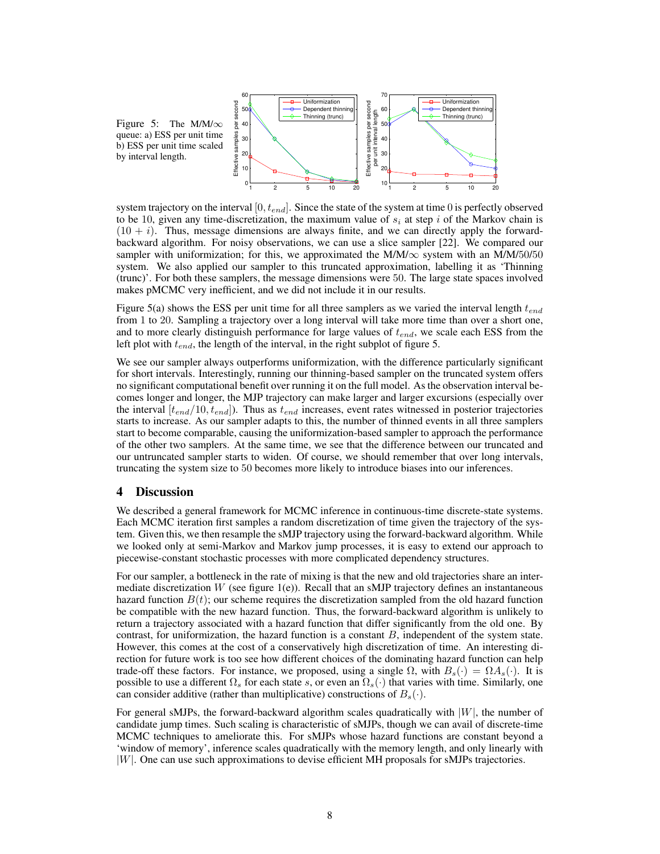

system trajectory on the interval  $[0, t_{end}]$ . Since the state of the system at time 0 is perfectly observed to be 10, given any time-discretization, the maximum value of  $s_i$  at step i of the Markov chain is  $(10 + i)$ . Thus, message dimensions are always finite, and we can directly apply the forwardbackward algorithm. For noisy observations, we can use a slice sampler [22]. We compared our sampler with uniformization; for this, we approximated the M/M/ $\infty$  system with an M/M/50/50 system. We also applied our sampler to this truncated approximation, labelling it as 'Thinning (trunc)'. For both these samplers, the message dimensions were 50. The large state spaces involved makes pMCMC very inefficient, and we did not include it in our results.

Figure 5(a) shows the ESS per unit time for all three samplers as we varied the interval length  $t_{end}$ from 1 to 20. Sampling a trajectory over a long interval will take more time than over a short one, and to more clearly distinguish performance for large values of  $t_{end}$ , we scale each ESS from the left plot with  $t_{end}$ , the length of the interval, in the right subplot of figure 5.

We see our sampler always outperforms uniformization, with the difference particularly significant for short intervals. Interestingly, running our thinning-based sampler on the truncated system offers no significant computational benefit over running it on the full model. As the observation interval becomes longer and longer, the MJP trajectory can make larger and larger excursions (especially over the interval  $[t<sub>end</sub>/10, t<sub>end</sub>]$ . Thus as  $t<sub>end</sub>$  increases, event rates witnessed in posterior trajectories starts to increase. As our sampler adapts to this, the number of thinned events in all three samplers start to become comparable, causing the uniformization-based sampler to approach the performance of the other two samplers. At the same time, we see that the difference between our truncated and our untruncated sampler starts to widen. Of course, we should remember that over long intervals, truncating the system size to 50 becomes more likely to introduce biases into our inferences.

## 4 Discussion

by interval length.

We described a general framework for MCMC inference in continuous-time discrete-state systems. Each MCMC iteration first samples a random discretization of time given the trajectory of the system. Given this, we then resample the sMJP trajectory using the forward-backward algorithm. While we looked only at semi-Markov and Markov jump processes, it is easy to extend our approach to piecewise-constant stochastic processes with more complicated dependency structures.

For our sampler, a bottleneck in the rate of mixing is that the new and old trajectories share an intermediate discretization W (see figure  $1(e)$ ). Recall that an sMJP trajectory defines an instantaneous hazard function  $B(t)$ ; our scheme requires the discretization sampled from the old hazard function be compatible with the new hazard function. Thus, the forward-backward algorithm is unlikely to return a trajectory associated with a hazard function that differ significantly from the old one. By contrast, for uniformization, the hazard function is a constant  $B$ , independent of the system state. However, this comes at the cost of a conservatively high discretization of time. An interesting direction for future work is too see how different choices of the dominating hazard function can help trade-off these factors. For instance, we proposed, using a single  $\Omega$ , with  $B_s(\cdot) = \Omega A_s(\cdot)$ . It is possible to use a different  $\Omega_s$  for each state s, or even an  $\Omega_s(\cdot)$  that varies with time. Similarly, one can consider additive (rather than multiplicative) constructions of  $B_s(\cdot)$ .

For general sMJPs, the forward-backward algorithm scales quadratically with  $|W|$ , the number of candidate jump times. Such scaling is characteristic of sMJPs, though we can avail of discrete-time MCMC techniques to ameliorate this. For sMJPs whose hazard functions are constant beyond a 'window of memory', inference scales quadratically with the memory length, and only linearly with |W|. One can use such approximations to devise efficient MH proposals for sMJPs trajectories.